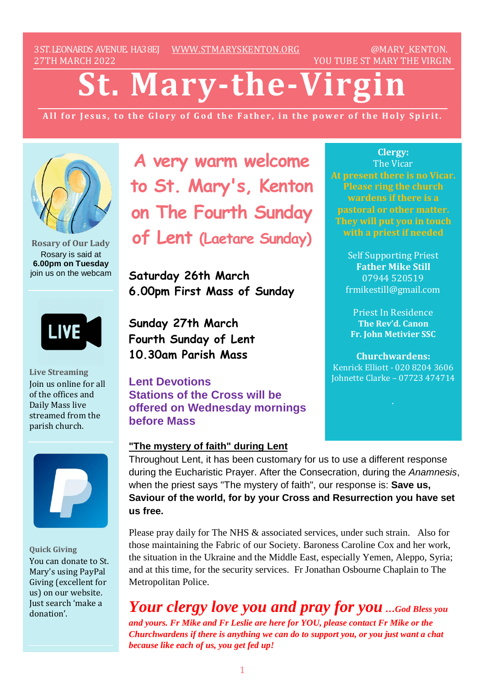3ST.LEONARDS AVENUE. HA38EJ [WWW.STMARYSKENTON.ORG](http://www.stmaryskenton.org/) @MARY\_KENTON. 27TH MARCH 2022 YOU TUBE ST MARY THE VIRGIN

# **St. Mary-the-Virg**

All for Jesus, to the Glory of God the Father, in the power of the Holy Spirit.



**Rosary of Our Lady** Rosary is said at **6.00pm on Tuesday** join us on the webcam

LIVE

**Live Streaming** Join us online for all of the offices and Daily Mass live streamed from the parish church.



**Quick Giving** You can donate to St. Mary's using PayPal Giving (excellent for us) on our website. Just search 'make a donation'.

**A very warm welcome to St. Mary's, Kenton on The Fourth Sunday of Lent (Laetare Sunday)**

**Saturday 26th March 6.00pm First Mass of Sunday**

**Sunday 27th March Fourth Sunday of Lent 10.30am Parish Mass**

**Lent Devotions Stations of the Cross will be offered on Wednesday mornings before Mass**

## **"The mystery of faith" during Lent**

**Clergy:** The Vicar **At present there is no Vicar. Please ring the church wardens if there is a pastoral or other matter. They will put you in touch**

> Self Supporting Priest **Father Mike Still** 07944 520519 frmikestill@gmail.com

Priest In Residence **The Rev'd. Canon Fr. John Metivier SSC**

**Churchwardens:** Kenrick Elliott - 020 8204 3606 Johnette Clarke – 07723 474714

Throughout Lent, it has been customary for us to use a different response during the Eucharistic Prayer. After the Consecration, during the *Anamnesis*, when the priest says "The mystery of faith", our response is: **Save us, Saviour of the world, for by your Cross and Resurrection you have set us free.** 

Please pray daily for The NHS & associated services, under such strain. Also for those maintaining the Fabric of our Society. Baroness Caroline Cox and her work, the situation in the Ukraine and the Middle East, especially Yemen, Aleppo, Syria; and at this time, for the security services. Fr Jonathan Osbourne Chaplain to The Metropolitan Police.

*Your clergy love you and pray for you …God Bless you and yours. Fr Mike and Fr Leslie are here for YOU, please contact Fr Mike or the Churchwardens if there is anything we can do to support you, or you just want a chat because like each of us, you get fed up!*